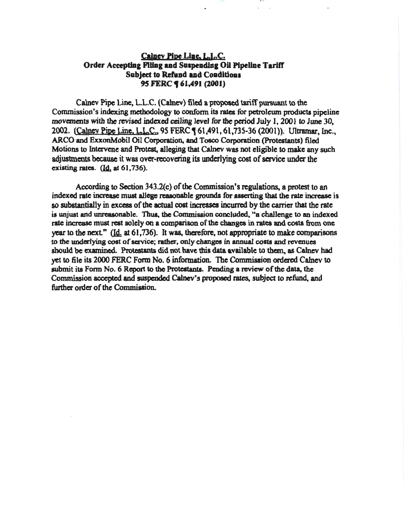# Calney Pipe Line, L.L.C. Order Accepting Filing and Suspending Oil Pipeline Tariff Subject to Refund and Conditions 95 FERC **(61,491 (2001)**

111 1 l I U

Calnev Pipe Line, L.L.C. (Calnev) filed a proposed tariff pursuant to the Commission's indexing methodology to conform its rates for petrolcwn products pipeline movements with the revised indexed ceiling level for the period July 1, 2001 to June 30, 2002. (Calney Pipe Line, L.L.C., 95 FERC **[61,491, 61,735-36 (2001)).** Ultramar, Inc., ARCO and ExxonMobil Oil Corporation, and Tosco Corporation (Protestants) filed Motions to Intervene and Protest, alleging that Calnev was not eligible to make any such adjustments bcause it was over-recovering its underlying cost of service under the existing rates.  $(d_1, a_2, a_3, a_4)$ .

According to Section 343.2(c) of the Commission's regulations, a protest to an indexed rate increase must allege reasonable grounds for asserting that the rate increase is so substantially in excess of the actual cost increases incurred by the carrier that the rate is unjust and unreasonable. Thus, the Commission concluded, "a challenge to an indexed rate increase must rest solely on a comparison of the changes in rates and costs from one year to the next." (Id. at 61,736). It was, therefore, not appropriate to make comparisons to the underlying cost of service; rather. only changes in annual costs and revenues should be examined. Protestants did not have this data available to them, as Calnev had yet to file its 2000 FERC Form No.6 information. The Commission ordered Calnev to submit its Form No.6 Report to the Protestants. Pending a review of the data, the Commission accepted and suspended Calnev's proposed rates, subject to refund, and further order of the Commission.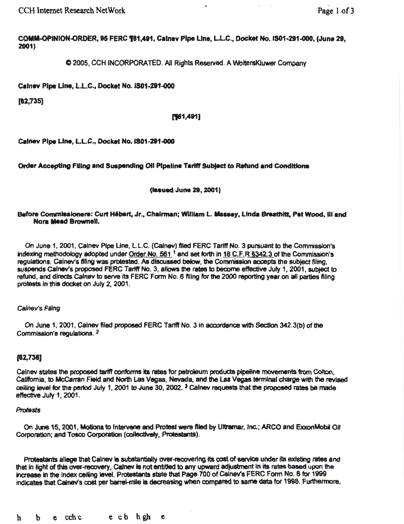CCH Internet Research NetWork

Page 1 of 3

COMM-OPINION-ORDER. 95 FERC 181.491, Calnev Pipe Line, L.L.C., Docket No. IS01-291-000, (June 29, 2001)

 $\bullet$  2005, CCH INCORPORATED. All Rights Reserved. A WoltersKluwer Company

Calnev Pipe Line, L.L.C., Docket No. IS01-291-000

 $[62,735]$ 

#### [161,491]

Calnev Pipe Line, L.L.C., Docket No. 1801-291-000

Order Accepting Filing and Suspending Oil Pipeline Tariff Subject to Refund and Conditions

(**Issued June 29, 2001**)

#### Before Commissioners: Curt Hébert, Jr., Chairman; William L. Massey, Linda Breathitt, Pat Wood, III and Nora Meed Brownell.

On June 1, 2001, Cslnev Pipe Une, L L.C. (Calnev) filed FERC Tarttf No. 3 pursuant to the Commission's indexing methodology adopted under Order No. 561  $^1$  and set forth in 18 C.F.R §342.3 of the Commission's regulations. Calnev's filing was protested. As discussed below, the Commission accepts the subject filing, suspends Calney's proposed FERC Tariff No. 3, allows the rates to become effective July 1, 2001, subject to refund, and directs Calney to serve its FERC Form No. 6 filing for the 2000 reporting year on all parties filing protests In this dodcat on July 2, 2001.

#### Calnev's Filing

On June 1, 2001, Calnev filed proposed FERC Tariff No. 3 in accordance with Section 342.3(b) of the Commission's requlations. <sup>2</sup>

## (82,738)

Calnev states the proposed tariff conforms its rates for petroleum products pipeline movements from Colton, Callfomla, to McCarran Field and North Las Vegas, Nevada. and the Las Vegas tennlnal charge with the revised cejling level for the period July 1, 2001 to June 30, 2002.  $3$  Calney requests that the proposed rates be made effective July 1, 2001.

#### Protests

On June 15, 2001, Motions to Intervene and Protest were filed by Ultramar, Inc.; ARCO and ExxonMobil Oil Corporation; and Tosco Corporation (collectively, Protestants).

Protestants allege that Calnev is substantially over-recovering its cost of service under its existing rates and that in light of this over-recovery, Calnev is not entitled to any upward adjustment in its rates based upon the increase in the Index ceiting level. Protestants state that Page 700 of Calnev's FERC Form No. 6 for 1999 indicates that Calnev's cost per barrel-mile is decreasing when compared to same data for 1998. Furthermore,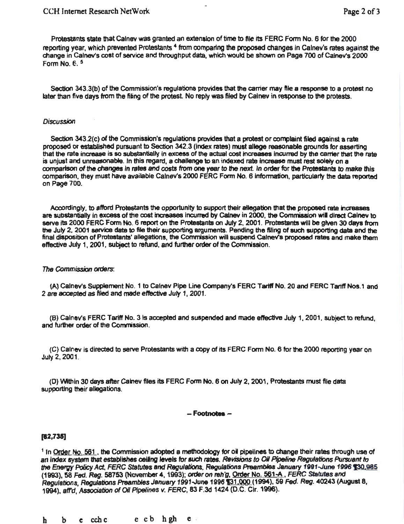Protestants state that Calnev was granted an extension of time to file its FERC Form No. 6 for the 2000 reporting year, which prevented Protestants 4 from comparing the proposed changes in Calnev's rates against the change in Calnev's cost of service and throughput data, which would be shown on Page 700 of Calnev's 2000 Form No. f.. 5

Section 343.3(b) of the Commission's regulations provides that the carrier may file a response to a protest no later than five days from the filing of the protest No reply was filed by Calnev in response to the protests.

#### **Discussion**

Section 3432(c) of the Commission's regulations provides that a protest or complaint filed against a rate proposed or established pursuant to Section 342.3 (Index rates) must allege reasonable grounds for asserting that the rate increase is so substantially in excess of the actual cost increases incurred by the carrier that the rate is unjust and unreasonable. In this regard, a challenge to an indexed rate Increase must rest solely on a comparison of the changes in rates and costs from one year to the next. In order for the Protestants to make this comparison, they must have available Calnev's 2000 FERC Form No. 6 Information, particularly the data reported on Page 700.

Accordingly, to afford Protestants the opportunity to support their allegation that the proposed rate increases are substantially in excess of the cost increases incurred by Calnev in 2000, the Commission will direct Calnev to serve its 2000 FERC Form No. 6 report on the Protestants on July 2, 2001 . Protestants will be given 30 days from the July 2, 2001 service date to file their supporting arguments. Pending the filing of such supporting data and the final disposition of Protestants' allegations, the Commission will suspend Calnev's proposed rates and make them effective July 1, 2001 , subject to refund, and further order of the Commission.

## The Commission orders:

(A) Calney's Supplement No. 1 to Calney Pipe Line Company's FERC Tariff No. 20 and FERC Tariff Nos.1 and 2 are accepted as filed and made effective July 1, 2001.

(B) calnev's FERC Tartff No. 3ls accepted and suspended and made etfectlve July 1, 2001 , subject to refund, and further order of the Commission.

(C) Calnev is directed to serve Protestants with a copy of its FERC Form No. 6 for the 2000 reporting year on July 2, 2001 .

(D) Within 30 days after Calney files its FERC Form No. 6 on July 2, 2001, Protestants must file data supporting their allegations.

## - Footnotes -

## $[62,735]$

<sup>1</sup> In Order No. 561, the Commission adopted a methodology for oil pipelines to change their rates through use of an index system that establishes ceiling levels for such rates. Revisions to Oil Pipeline Regulations Pursuant to the Energy Policy Act, FERC Statutes and Regulations, Regulations Preambles January 1991-June 1996 130,985 (1993), 58 Fed. Reg. 58753 (November 4, 1993); order *on* reh'g, Order No. 561-A. FERC Statutes and Regulations, Regulations Preambles January 1991-June 1996 131,000 (1994), 59 Fed. Reg. 40243 (August 8, 1994), atrd, *Association of* 011 Pipelines v. FERC, 83 F.3d 1424 (D.C. Clr. 1996).

h b c cchc e cb hgh e